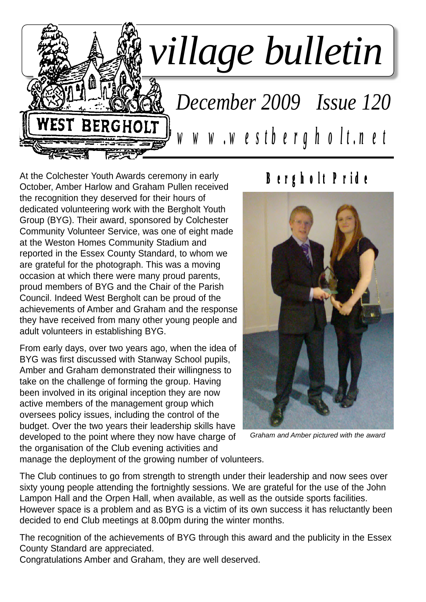

At the Colchester Youth Awards ceremony in early October, Amber Harlow and Graham Pullen received the recognition they deserved for their hours of dedicated volunteering work with the Bergholt Youth Group (BYG). Their award, sponsored by Colchester Community Volunteer Service, was one of eight made at the Weston Homes Community Stadium and reported in the Essex County Standard, to whom we are grateful for the photograph. This was a moving occasion at which there were many proud parents, proud members of BYG and the Chair of the Parish Council. Indeed West Bergholt can be proud of the achievements of Amber and Graham and the response they have received from many other young people and adult volunteers in establishing BYG.

From early days, over two years ago, when the idea of BYG was first discussed with Stanway School pupils, Amber and Graham demonstrated their willingness to take on the challenge of forming the group. Having been involved in its original inception they are now active members of the management group which oversees policy issues, including the control of the budget. Over the two years their leadership skills have developed to the point where they now have charge of the organisation of the Club evening activities and

# **Bergholt Pride**



*Graham and Amber pictured with the award*

manage the deployment of the growing number of volunteers.

The Club continues to go from strength to strength under their leadership and now sees over sixty young people attending the fortnightly sessions. We are grateful for the use of the John Lampon Hall and the Orpen Hall, when available, as well as the outside sports facilities. However space is a problem and as BYG is a victim of its own success it has reluctantly been decided to end Club meetings at 8.00pm during the winter months.

The recognition of the achievements of BYG through this award and the publicity in the Essex County Standard are appreciated.

Congratulations Amber and Graham, they are well deserved.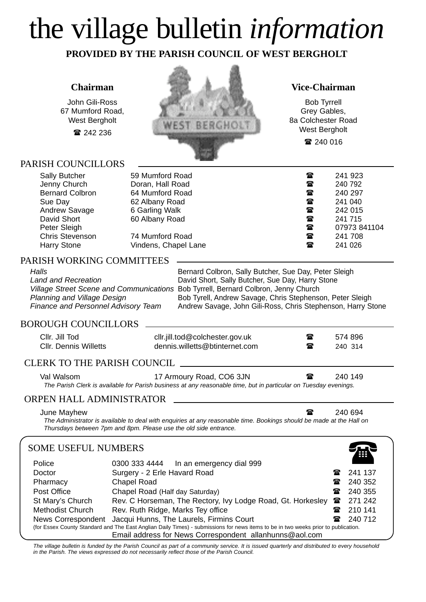# the village bulletin *information*

**PROVIDED BY THE PARISH COUNCIL OF WEST BERGHOLT**

### **Chairman**

John Gili-Ross 67 Mumford Road, West Bergholt 242 236

PARISH COUNCILLORS



**Vice-Chairman**

Bob Tyrrell Grey Gables, 8a Colchester Road West Bergholt ■ 240 016

| <b>Sally Butcher</b>   | 59 Mumford Road      | ☎            | 241 923      |
|------------------------|----------------------|--------------|--------------|
| Jenny Church           | Doran, Hall Road     | t            | 240 792      |
| <b>Bernard Colbron</b> | 64 Mumford Road      | $\mathbf{r}$ | 240 297      |
| Sue Day                | 62 Albany Road       | t            | 241 040      |
| Andrew Savage          | 6 Garling Walk       | $\mathbf{r}$ | 242 015      |
| David Short            | 60 Albany Road       | t            | 241 715      |
| Peter Sleigh           |                      | $\mathbf{a}$ | 07973 841104 |
| <b>Chris Stevenson</b> | 74 Mumford Road      | $\mathbf{r}$ | 241 708      |
| Harry Stone            | Vindens, Chapel Lane | ☎            | 241 026      |

### PARISH WORKING COMMITTEES

| Halls                                      | Bernard Colbron, Sally Butcher, Sue Day, Peter Sleigh                              |
|--------------------------------------------|------------------------------------------------------------------------------------|
| Land and Recreation                        | David Short, Sally Butcher, Sue Day, Harry Stone                                   |
|                                            | Village Street Scene and Communications Bob Tyrrell, Bernard Colbron, Jenny Church |
| Planning and Village Design                | Bob Tyrell, Andrew Savage, Chris Stephenson, Peter Sleigh                          |
| <b>Finance and Personnel Advisory Team</b> | Andrew Savage, John Gili-Ross, Chris Stephenson, Harry Stone                       |
|                                            |                                                                                    |

### BOROUGH COUNCILLORS

| Cllr. Jill Tod<br><b>CIIr. Dennis Willetts</b> | cllr.jill.tod@colchester.gov.uk<br>dennis.willetts@btinternet.com                                                                                                                                                                                                                                                    | ☎<br>$\bf{r}$ | 574 896<br>240 314 |  |
|------------------------------------------------|----------------------------------------------------------------------------------------------------------------------------------------------------------------------------------------------------------------------------------------------------------------------------------------------------------------------|---------------|--------------------|--|
| CLERK TO THE PARISH COUNCIL                    |                                                                                                                                                                                                                                                                                                                      |               |                    |  |
| Val Walsom<br>__________________               | 17 Armoury Road, CO6 3JN<br>$\mathbf{u}$ , and $\mathbf{u}$ , and $\mathbf{u}$ , and $\mathbf{u}$ , and $\mathbf{u}$ , and $\mathbf{u}$ , and $\mathbf{u}$ , and $\mathbf{u}$ , and $\mathbf{u}$ , and $\mathbf{u}$ , and $\mathbf{u}$ , and $\mathbf{u}$ , and $\mathbf{u}$ , and $\mathbf{u}$ , and $\mathbf{u}$ , | $\mathbf{r}$  | 240 149            |  |

*The Parish Clerk is available for Parish business at any reasonable time, but in particular on Tuesday evenings.*

### ORPEN HALL ADMINISTRATOR

June Mayhew 240 694

*The Administrator is available to deal with enquiries at any reasonable time. Bookings should be made at the Hall on Thursdays between 7pm and 8pm. Please use the old side entrance.*

### SOME USEFUL NUMBERS

| <b>SOME USEFUL NUMBERS</b> |                                                                                                                                    |              | Ħ       |
|----------------------------|------------------------------------------------------------------------------------------------------------------------------------|--------------|---------|
| Police                     | 0300 333 4444    In an emergency dial 999                                                                                          |              |         |
| Doctor                     | Surgery - 2 Erle Havard Road                                                                                                       | 金            | 241 137 |
| Pharmacy                   | <b>Chapel Road</b>                                                                                                                 | 金            | 240 352 |
| Post Office                | Chapel Road (Half day Saturday)                                                                                                    | $\mathbf{r}$ | 240 355 |
| St Mary's Church           | Rev. C Horseman, The Rectory, Ivy Lodge Road, Gt. Horkesley                                                                        | 魯            | 271 242 |
| Methodist Church           | Rev. Ruth Ridge, Marks Tey office                                                                                                  | ☎            | 210 141 |
| News Correspondent         | Jacqui Hunns, The Laurels, Firmins Court                                                                                           |              | 240 712 |
|                            | (for Essex County Standard and The East Anglian Daily Times) - submissions for news items to be in two weeks prior to publication. |              |         |
|                            | Email address for News Correspondent allanhunns@aol.com                                                                            |              |         |

*The village bulletin is funded by the Parish Council as part of a community service. It is issued quarterly and distributed to every household in the Parish. The views expressed do not necessarily reflect those of the Parish Council.*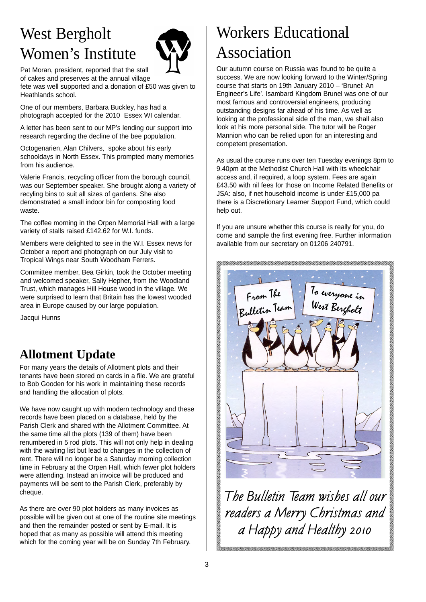# West Bergholt Women's Institute



Pat Moran, president, reported that the stall of cakes and preserves at the annual village

fete was well supported and a donation of £50 was given to Heathlands school.

One of our members, Barbara Buckley, has had a photograph accepted for the 2010 Essex WI calendar.

A letter has been sent to our MP's lending our support into research regarding the decline of the bee population.

Octogenarien, Alan Chilvers, spoke about his early schooldays in North Essex. This prompted many memories from his audience.

Valerie Francis, recycling officer from the borough council, was our September speaker. She brought along a variety of recyling bins to suit all sizes of gardens. She also demonstrated a small indoor bin for composting food waste.

The coffee morning in the Orpen Memorial Hall with a large variety of stalls raised £142.62 for W.I. funds.

Members were delighted to see in the W.I. Essex news for October a report and photograph on our July visit to Tropical Wings near South Woodham Ferrers.

Committee member, Bea Girkin, took the October meeting and welcomed speaker, Sally Hepher, from the Woodland Trust, which manages Hill House wood in the village. We were surprised to learn that Britain has the lowest wooded area in Europe caused by our large population.

Jacqui Hunns

### **Allotment Update**

For many years the details of Allotment plots and their tenants have been stored on cards in a file. We are grateful to Bob Gooden for his work in maintaining these records and handling the allocation of plots.

We have now caught up with modern technology and these records have been placed on a database, held by the Parish Clerk and shared with the Allotment Committee. At the same time all the plots (139 of them) have been renumbered in 5 rod plots. This will not only help in dealing with the waiting list but lead to changes in the collection of rent. There will no longer be a Saturday morning collection time in February at the Orpen Hall, which fewer plot holders were attending. Instead an invoice will be produced and payments will be sent to the Parish Clerk, preferably by cheque.

As there are over 90 plot holders as many invoices as possible will be given out at one of the routine site meetings and then the remainder posted or sent by E-mail. It is hoped that as many as possible will attend this meeting which for the coming year will be on Sunday 7th February.

# Workers Educational Association

Our autumn course on Russia was found to be quite a success. We are now looking forward to the Winter/Spring course that starts on 19th January 2010 – 'Brunel: An Engineer's Life'. Isambard Kingdom Brunel was one of our most famous and controversial engineers, producing outstanding designs far ahead of his time. As well as looking at the professional side of the man, we shall also look at his more personal side. The tutor will be Roger Mannion who can be relied upon for an interesting and competent presentation.

As usual the course runs over ten Tuesday evenings 8pm to 9.40pm at the Methodist Church Hall with its wheelchair access and, if required, a loop system. Fees are again £43.50 with nil fees for those on Income Related Benefits or JSA: also, if net household income is under £15,000 pa there is a Discretionary Learner Support Fund, which could help out.

If you are unsure whether this course is really for you, do come and sample the first evening free. Further information available from our secretary on 01206 240791.



*The Bulletin Team wishes all our readers a Merry Christmas and a Happy and Healthy 2010*

E ELEVERE ELEVERE ELEVERE ELEVERE ELEVERE ELEVERE ELEVERE ELEVERE ELEVERE ELEVERE ELEVERE ELEVERE ELEVERE ELE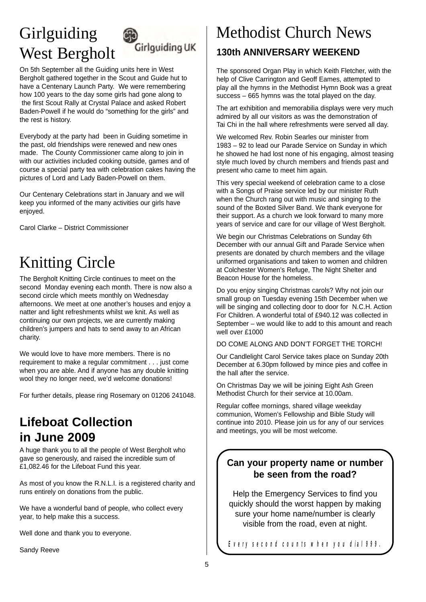# Girlguiding West Bergholt



On 5th September all the Guiding units here in West Bergholt gathered together in the Scout and Guide hut to have a Centenary Launch Party. We were remembering how 100 years to the day some girls had gone along to the first Scout Rally at Crystal Palace and asked Robert Baden-Powell if he would do "something for the girls" and the rest is history.

Everybody at the party had been in Guiding sometime in the past, old friendships were renewed and new ones made. The County Commissioner came along to join in with our activities included cooking outside, games and of course a special party tea with celebration cakes having the pictures of Lord and Lady Baden-Powell on them.

Our Centenary Celebrations start in January and we will keep you informed of the many activities our girls have enjoyed.

Carol Clarke – District Commissioner

# Knitting Circle

The Bergholt Knitting Circle continues to meet on the second Monday evening each month. There is now also a second circle which meets monthly on Wednesday afternoons. We meet at one another's houses and enjoy a natter and light refreshments whilst we knit. As well as continuing our own projects, we are currently making children's jumpers and hats to send away to an African charity.

We would love to have more members. There is no requirement to make a regular commitment . . . just come when you are able. And if anyone has any double knitting wool they no longer need, we'd welcome donations!

For further details, please ring Rosemary on 01206 241048.

### **Lifeboat Collection in June 2009**

A huge thank you to all the people of West Bergholt who gave so generously, and raised the incredible sum of £1,082.46 for the Lifeboat Fund this year.

As most of you know the R.N.L.I. is a registered charity and runs entirely on donations from the public.

We have a wonderful band of people, who collect every year, to help make this a success.

Well done and thank you to everyone.

Sandy Reeve

# Methodist Church News **130th ANNIVERSARY WEEKEND**

The sponsored Organ Play in which Keith Fletcher, with the help of Clive Carrington and Geoff Eames, attempted to play all the hymns in the Methodist Hymn Book was a great success – 665 hymns was the total played on the day.

The art exhibition and memorabilia displays were very much admired by all our visitors as was the demonstration of Tai Chi in the hall where refreshments were served all day.

We welcomed Rev. Robin Searles our minister from 1983 – 92 to lead our Parade Service on Sunday in which he showed he had lost none of his engaging, almost teasing style much loved by church members and friends past and present who came to meet him again.

This very special weekend of celebration came to a close with a Songs of Praise service led by our minister Ruth when the Church rang out with music and singing to the sound of the Boxted Silver Band. We thank everyone for their support. As a church we look forward to many more years of service and care for our village of West Bergholt.

We begin our Christmas Celebrations on Sunday 6th December with our annual Gift and Parade Service when presents are donated by church members and the village uniformed organisations and taken to women and children at Colchester Women's Refuge, The Night Shelter and Beacon House for the homeless.

Do you enjoy singing Christmas carols? Why not join our small group on Tuesday evening 15th December when we will be singing and collecting door to door for N.C.H. Action For Children. A wonderful total of £940.12 was collected in September – we would like to add to this amount and reach well over £1000

DO COME ALONG AND DON'T FORGET THE TORCH!

Our Candlelight Carol Service takes place on Sunday 20th December at 6.30pm followed by mince pies and coffee in the hall after the service.

On Christmas Day we will be joining Eight Ash Green Methodist Church for their service at 10.00am.

Regular coffee mornings, shared village weekday communion, Women's Fellowship and Bible Study will continue into 2010. Please join us for any of our services and meetings, you will be most welcome.

### **Can your property name or number be seen from the road?**

Help the Emergency Services to find you quickly should the worst happen by making sure your home name/number is clearly visible from the road, even at night.

*Every second counts when you dial 999.*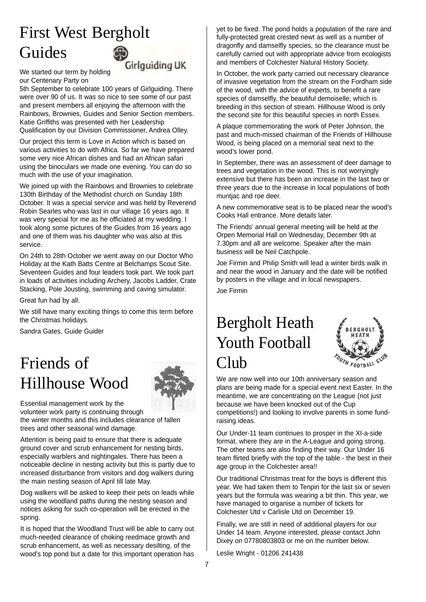# First West Bergholt Guides

**Girlguiding UK** 

We started our term by holding our Centenary Party on

5th September to celebrate 100 years of Girlguiding. There were over 90 of us. It was so nice to see some of our past and present members all enjoying the afternoon with the Rainbows, Brownies, Guides and Senior Section members. Katie Griffiths was presented with her Leadership Qualification by our Division Commissioner, Andrea Olley.

Our project this term is Love in Action which is based on various activities to do with Africa. So far we have prepared some very nice African dishes and had an African safari using the binoculars we made one evening. You can do so much with the use of your imagination.

We joined up with the Rainbows and Brownies to celebrate 130th Birthday of the Methodist church on Sunday 18th October. It was a special service and was held by Reverend Robin Searles who was last in our village 16 years ago. It was very special for me as he officiated at my wedding. I took along some pictures of the Guides from 16 years ago and one of them was his daughter who was also at this service.

On 24th to 28th October we went away on our Doctor Who Holiday at the Kath Batts Centre at Belchamps Scout Site. Seventeen Guides and four leaders took part. We took part in loads of activities including Archery, Jacobs Ladder, Crate Stacking, Pole Jousting, swimming and caving simulator.

Great fun had by all.

We still have many exciting things to come this term before the Christmas holidays.

Sandra Gates, Guide Guider

# Friends of Hillhouse Wood



Essential management work by the volunteer work party is continuing through the winter months and this includes clearance of fallen trees and other seasonal wind damage.

Attention is being paid to ensure that there is adequate ground cover and scrub enhancement for nesting birds, especially warblers and nightingales. There has been a noticeable decline in nesting activity but this is partly due to increased disturbance from visitors and dog walkers during the main nesting season of April till late May.

Dog walkers will be asked to keep their pets on leads while using the woodland paths during the nesting season and notices asking for such co-operation will be erected in the spring.

It is hoped that the Woodland Trust will be able to carry out much-needed clearance of choking reedmace growth and scrub enhancement, as well as necessary desilting, of the wood's top pond but a date for this important operation has

yet to be fixed. The pond holds a population of the rare and fully-protected great crested newt as well as a number of dragonfly and damselfly species, so the clearance must be carefully carried out with appropriate advice from ecologists and members of Colchester Natural History Society.

In October, the work party carried out necessary clearance of invasive vegetation from the stream on the Fordham side of the wood, with the advice of experts, to benefit a rare species of damselfly, the beautiful demoiselle, which is breeding in this section of stream. Hillhouse Wood is only the second site for this beautiful species in north Essex.

A plaque commemorating the work of Peter Johnson, the past and much-missed chairman of the Friends of Hillhouse Wood, is being placed on a memorial seat next to the wood's lower pond.

In September, there was an assessment of deer damage to trees and vegetation in the wood. This is not worryingly extensive but there has been an increase in the last two or three years due to the increase in local populations of both muntjac and roe deer.

A new commemorative seat is to be placed near the wood's Cooks Hall entrance. More details later.

The Friends' annual general meeting will be held at the Orpen Memorial Hall on Wednesday, December 9th at 7.30pm and all are welcome. Speaker after the main business will be Neil Catchpole.

Joe Firmin and Philip Smith will lead a winter birds walk in and near the wood in January and the date will be notified by posters in the village and in local newspapers.

Joe Firmin

# Bergholt Heath Youth Football Club



We are now well into our 10th anniversary season and plans are being made for a special event next Easter. In the meantime, we are concentrating on the League (not just because we have been knocked out of the Cup competitions!) and looking to involve parents in some fundraising ideas.

Our Under-11 team continues to prosper in the XI-a-side format, where they are in the A-League and going strong. The other teams are also finding their way. Our Under 16 team flirted briefly with the top of the table - the best in their age group in the Colchester area!!

Our traditional Christmas treat for the boys is different this year. We had taken them to Tenpin for the last six or seven years but the formula was wearing a bit thin. This year, we have managed to organise a number of tickets for Colchester Utd v Carlisle Utd on December 19.

Finally, we are still in need of additional players for our Under 14 team. Anyone interested, please contact John Dixey on 07780803803 or me on the number below.

Leslie Wright - 01206 241438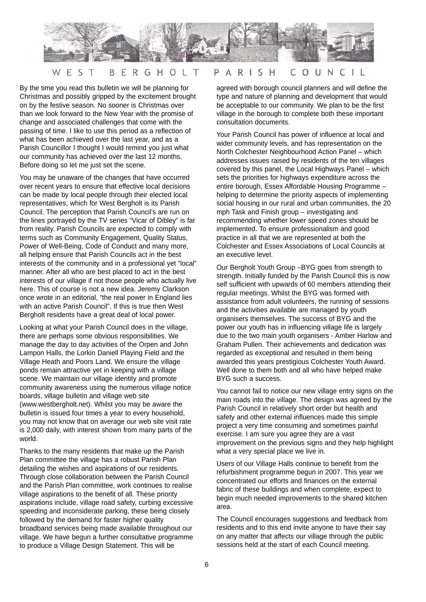

#### S COU NCIL T ERG HOL PARI  $S$  H E B  $\top$

By the time you read this bulletin we will be planning for Christmas and possibly gripped by the excitement brought on by the festive season. No sooner is Christmas over than we look forward to the New Year with the promise of change and associated challenges that come with the passing of time. I like to use this period as a reflection of what has been achieved over the last year, and as a Parish Councillor I thought I would remind you just what our community has achieved over the last 12 months. Before doing so let me just set the scene.

You may be unaware of the changes that have occurred over recent years to ensure that effective local decisions can be made by local people through their elected local representatives, which for West Bergholt is its Parish Council. The perception that Parish Council's are run on the lines portrayed by the TV series "Vicar of Dibley" is far from reality. Parish Councils are expected to comply with terms such as Community Engagement, Quality Status, Power of Well-Being, Code of Conduct and many more, all helping ensure that Parish Councils act in the best interests of the community and in a professional yet "local" manner. After all who are best placed to act in the best interests of our village if not those people who actually live here. This of course is not a new idea. Jeremy Clarkson once wrote in an editorial, "the real power in England lies with an active Parish Council". If this is true then West Bergholt residents have a great deal of local power.

Looking at what your Parish Council does in the village, there are perhaps some obvious responsibilities. We manage the day to day activities of the Orpen and John Lampon Halls, the Lorkin Daniell Playing Field and the Village Heath and Poors Land. We ensure the village ponds remain attractive yet in keeping with a village scene. We maintain our village identity and promote community awareness using the numerous village notice boards, village bulletin and village web site (www.westbergholt.net). Whilst you may be aware the bulletin is issued four times a year to every household, you may not know that on average our web site visit rate is 2,000 daily, with interest shown from many parts of the world.

Thanks to the many residents that make up the Parish Plan committee the village has a robust Parish Plan detailing the wishes and aspirations of our residents. Through close collaboration between the Parish Council and the Parish Plan committee, work continues to realise village aspirations to the benefit of all. These priority aspirations include, village road safety, curbing excessive speeding and inconsiderate parking, these being closely followed by the demand for faster higher quality broadband services being made available throughout our village. We have begun a further consultative programme to produce a Village Design Statement. This will be

agreed with borough council planners and will define the type and nature of planning and development that would be acceptable to our community. We plan to be the first village in the borough to complete both these important consultation documents.

Your Parish Council has power of influence at local and wider community levels, and has representation on the North Colchester Neighbourhood Action Panel – which addresses issues raised by residents of the ten villages covered by this panel, the Local Highways Panel – which sets the priorities for highways expenditure across the entire borough, Essex Affordable Housing Programme – helping to determine the priority aspects of implementing social housing in our rural and urban communities, the 20 mph Task and Finish group – investigating and recommending whether lower speed zones should be implemented. To ensure professionalism and good practice in all that we are represented at both the Colchester and Essex Associations of Local Councils at an executive level.

Our Bergholt Youth Group –BYG goes from strength to strength. Initially funded by the Parish Council this is now self sufficient with upwards of 60 members attending their regular meetings. Whilst the BYG was formed with assistance from adult volunteers, the running of sessions and the activities available are managed by youth organisers themselves. The success of BYG and the power our youth has in influencing village life is largely due to the two main youth organisers - Amber Harlow and Graham Pullen. Their achievements and dedication was regarded as exceptional and resulted in them being awarded this years prestigious Colchester Youth Award. Well done to them both and all who have helped make BYG such a success.

You cannot fail to notice our new village entry signs on the main roads into the village. The design was agreed by the Parish Council in relatively short order but health and safety and other external influences made this simple project a very time consuming and sometimes painful exercise. I am sure you agree they are a vast improvement on the previous signs and they help highlight what a very special place we live in.

Users of our Village Halls continue to benefit from the refurbishment programme begun in 2007. This year we concentrated our efforts and finances on the external fabric of these buildings and when complete, expect to begin much needed improvements to the shared kitchen area.

The Council encourages suggestions and feedback from residents and to this end invite anyone to have their say on any matter that affects our village through the public sessions held at the start of each Council meeting.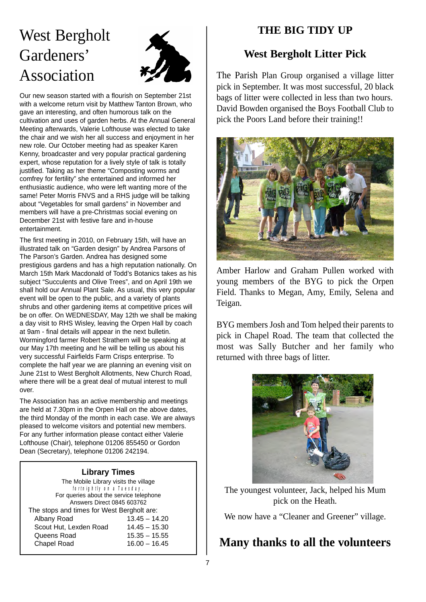# West Bergholt Gardeners' Association



Our new season started with a flourish on September 21st with a welcome return visit by Matthew Tanton Brown, who gave an interesting, and often humorous talk on the cultivation and uses of garden herbs. At the Annual General Meeting afterwards, Valerie Lofthouse was elected to take the chair and we wish her all success and enjoyment in her new role. Our October meeting had as speaker Karen Kenny, broadcaster and very popular practical gardening expert, whose reputation for a lively style of talk is totally justified. Taking as her theme "Composting worms and comfrey for fertility" she entertained and informed her enthusiastic audience, who were left wanting more of the same! Peter Morris FNVS and a RHS judge will be talking about "Vegetables for small gardens" in November and members will have a pre-Christmas social evening on December 21st with festive fare and in-house entertainment.

The first meeting in 2010, on February 15th, will have an illustrated talk on "Garden design" by Andrea Parsons of The Parson's Garden. Andrea has designed some prestigious gardens and has a high reputation nationally. On March 15th Mark Macdonald of Todd's Botanics takes as his subject "Succulents and Olive Trees", and on April 19th we shall hold our Annual Plant Sale. As usual, this very popular event will be open to the public, and a variety of plants shrubs and other gardening items at competitive prices will be on offer. On WEDNESDAY, May 12th we shall be making a day visit to RHS Wisley, leaving the Orpen Hall by coach at 9am - final details will appear in the next bulletin. Wormingford farmer Robert Strathern will be speaking at our May 17th meeting and he will be telling us about his very successful Fairfields Farm Crisps enterprise. To complete the half year we are planning an evening visit on June 21st to West Bergholt Allotments, New Church Road, where there will be a great deal of mutual interest to mull over.

The Association has an active membership and meetings are held at 7.30pm in the Orpen Hall on the above dates, the third Monday of the month in each case. We are always pleased to welcome visitors and potential new members. For any further information please contact either Valerie Lofthouse (Chair), telephone 01206 855450 or Gordon Dean (Secretary), telephone 01206 242194.

### **Library Times**

The Mobile Library visits the village *fortnightly on a Tuesday*. For queries about the service telephone Answers Direct 0845 603762 The stops and times for West Bergholt are: Albany Road 13.45 – 14.20 Scout Hut, Lexden Road 14.45 – 15.30 Queens Road 15.35 – 15.55 Chapel Road 16.00 – 16.45

### **THE BIG TIDY UP**

### **West Bergholt Litter Pick**

The Parish Plan Group organised a village litter pick in September. It was most successful, 20 black bags of litter were collected in less than two hours. David Bowden organised the Boys Football Club to pick the Poors Land before their training!!



Amber Harlow and Graham Pullen worked with young members of the BYG to pick the Orpen Field. Thanks to Megan, Amy, Emily, Selena and Teigan.

BYG members Josh and Tom helped their parents to pick in Chapel Road. The team that collected the most was Sally Butcher and her family who returned with three bags of litter.



The youngest volunteer, Jack, helped his Mum pick on the Heath.

We now have a "Cleaner and Greener" village.

### **Many thanks to all the volunteers**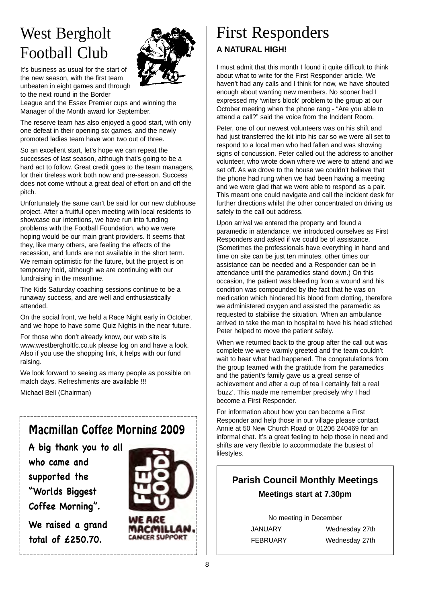# West Bergholt Football Club

It's business as usual for the start of the new season, with the first team unbeaten in eight games and through to the next round in the Border



League and the Essex Premier cups and winning the Manager of the Month award for September.

The reserve team has also enjoyed a good start, with only one defeat in their opening six games, and the newly promoted ladies team have won two out of three.

So an excellent start, let's hope we can repeat the successes of last season, although that's going to be a hard act to follow. Great credit goes to the team managers, for their tireless work both now and pre-season. Success does not come without a great deal of effort on and off the pitch.

Unfortunately the same can't be said for our new clubhouse project. After a fruitful open meeting with local residents to showcase our intentions, we have run into funding problems with the Football Foundation, who we were hoping would be our main grant providers. It seems that they, like many others, are feeling the effects of the recession, and funds are not available in the short term. We remain optimistic for the future, but the project is on temporary hold, although we are continuing with our fundraising in the meantime.

The Kids Saturday coaching sessions continue to be a runaway success, and are well and enthusiastically attended.

On the social front, we held a Race Night early in October, and we hope to have some Quiz Nights in the near future.

For those who don't already know, our web site is www.westbergholtfc.co.uk please log on and have a look. Also if you use the shopping link, it helps with our fund raising.

We look forward to seeing as many people as possible on match days. Refreshments are available !!!

Michael Bell (Chairman)

# Macmillan Coffee Morning 2009

**A big thank you to all who came and supported the "Worlds Biggest Coffee Morning".**

**We raised a grand total of £250.70.**



# First Responders **A NATURAL HIGH!**

I must admit that this month I found it quite difficult to think about what to write for the First Responder article. We haven't had any calls and I think for now, we have shouted enough about wanting new members. No sooner had I expressed my 'writers block' problem to the group at our October meeting when the phone rang - "Are you able to attend a call?" said the voice from the Incident Room.

Peter, one of our newest volunteers was on his shift and had just transferred the kit into his car so we were all set to respond to a local man who had fallen and was showing signs of concussion. Peter called out the address to another volunteer, who wrote down where we were to attend and we set off. As we drove to the house we couldn't believe that the phone had rung when we had been having a meeting and we were glad that we were able to respond as a pair. This meant one could navigate and call the incident desk for further directions whilst the other concentrated on driving us safely to the call out address.

Upon arrival we entered the property and found a paramedic in attendance, we introduced ourselves as First Responders and asked if we could be of assistance. (Sometimes the professionals have everything in hand and time on site can be just ten minutes, other times our assistance can be needed and a Responder can be in attendance until the paramedics stand down.) On this occasion, the patient was bleeding from a wound and his condition was compounded by the fact that he was on medication which hindered his blood from clotting, therefore we administered oxygen and assisted the paramedic as requested to stabilise the situation. When an ambulance arrived to take the man to hospital to have his head stitched Peter helped to move the patient safely.

When we returned back to the group after the call out was complete we were warmly greeted and the team couldn't wait to hear what had happened. The congratulations from the group teamed with the gratitude from the paramedics and the patient's family gave us a great sense of achievement and after a cup of tea I certainly felt a real 'buzz'. This made me remember precisely why I had become a First Responder.

For information about how you can become a First Responder and help those in our village please contact Annie at 50 New Church Road or 01206 240469 for an informal chat. It's a great feeling to help those in need and shifts are very flexible to accommodate the busiest of lifestyles.

### **Parish Council Monthly Meetings Meetings start at 7.30pm**

No meeting in December

JANUARY Wednesday 27th FEBRUARY Wednesday 27th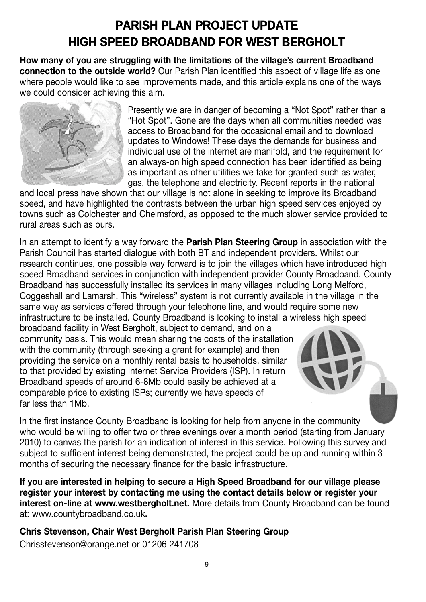# **PARISH PLAN PROJECT UPDATE HIGH SPEED BROADBAND FOR WEST BERGHOLT**

**How many of you are struggling with the limitations of the village's current Broadband connection to the outside world?** Our Parish Plan identified this aspect of village life as one where people would like to see improvements made, and this article explains one of the ways we could consider achieving this aim.



Presently we are in danger of becoming a "Not Spot" rather than a "Hot Spot". Gone are the days when all communities needed was access to Broadband for the occasional email and to download updates to Windows! These days the demands for business and individual use of the internet are manifold, and the requirement for an always-on high speed connection has been identified as being as important as other utilities we take for granted such as water, gas, the telephone and electricity. Recent reports in the national

and local press have shown that our village is not alone in seeking to improve its Broadband speed, and have highlighted the contrasts between the urban high speed services enjoyed by towns such as Colchester and Chelmsford, as opposed to the much slower service provided to rural areas such as ours.

In an attempt to identify a way forward the **Parish Plan Steering Group** in association with the Parish Council has started dialogue with both BT and independent providers. Whilst our research continues, one possible way forward is to join the villages which have introduced high speed Broadband services in conjunction with independent provider County Broadband. County Broadband has successfully installed its services in many villages including Long Melford, Coggeshall and Lamarsh. This "wireless" system is not currently available in the village in the same way as services offered through your telephone line, and would require some new infrastructure to be installed. County Broadband is looking to install a wireless high speed

broadband facility in West Bergholt, subject to demand, and on a community basis. This would mean sharing the costs of the installation with the community (through seeking a grant for example) and then providing the service on a monthly rental basis to households, similar to that provided by existing Internet Service Providers (ISP). In return Broadband speeds of around 6-8Mb could easily be achieved at a comparable price to existing ISPs; currently we have speeds of far less than 1Mb.

In the first instance County Broadband is looking for help from anyone in the community who would be willing to offer two or three evenings over a month period (starting from January 2010) to canvas the parish for an indication of interest in this service. Following this survey and subject to sufficient interest being demonstrated, the project could be up and running within 3 months of securing the necessary finance for the basic infrastructure.

**If you are interested in helping to secure a High Speed Broadband for our village please register your interest by contacting me using the contact details below or register your interest on-line at www.westbergholt.net.** More details from County Broadband can be found at: www.countybroadband.co.uk**.**

**Chris Stevenson, Chair West Bergholt Parish Plan Steering Group** Chrisstevenson@orange.net or 01206 241708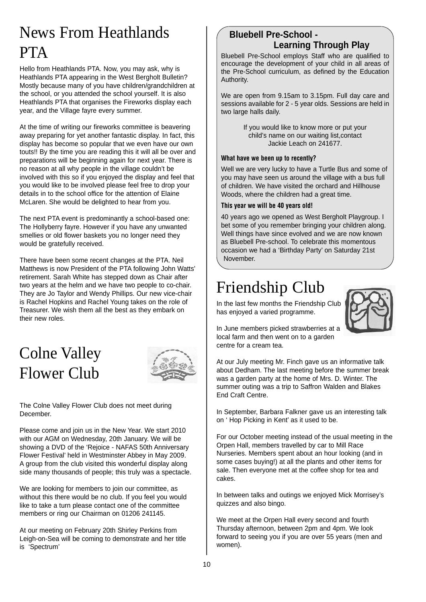# News From Heathlands PTA

Hello from Heathlands PTA. Now, you may ask, why is Heathlands PTA appearing in the West Bergholt Bulletin? Mostly because many of you have children/grandchildren at the school, or you attended the school yourself. It is also Heathlands PTA that organises the Fireworks display each year, and the Village fayre every summer.

At the time of writing our fireworks committee is beavering away preparing for yet another fantastic display. In fact, this display has become so popular that we even have our own touts!! By the time you are reading this it will all be over and preparations will be beginning again for next year. There is no reason at all why people in the village couldn't be involved with this so if you enjoyed the display and feel that you would like to be involved please feel free to drop your details in to the school office for the attention of Elaine McLaren. She would be delighted to hear from you.

The next PTA event is predominantly a school-based one: The Hollyberry fayre. However if you have any unwanted smellies or old flower baskets you no longer need they would be gratefully received.

There have been some recent changes at the PTA. Neil Matthews is now President of the PTA following John Watts' retirement. Sarah White has stepped down as Chair after two years at the helm and we have two people to co-chair. They are Jo Taylor and Wendy Phillips. Our new vice-chair is Rachel Hopkins and Rachel Young takes on the role of Treasurer. We wish them all the best as they embark on their new roles.

# Colne Valley Flower Club



The Colne Valley Flower Club does not meet during December.

Please come and join us in the New Year. We start 2010 with our AGM on Wednesday, 20th January. We will be showing a DVD of the 'Rejoice - NAFAS 50th Anniversary Flower Festival' held in Westminster Abbey in May 2009. A group from the club visited this wonderful display along side many thousands of people; this truly was a spectacle.

We are looking for members to join our committee, as without this there would be no club. If you feel you would like to take a turn please contact one of the committee members or ring our Chairman on 01206 241145.

At our meeting on February 20th Shirley Perkins from Leigh-on-Sea will be coming to demonstrate and her title is 'Spectrum'

### **Bluebell Pre-School - Learning Through Play**

Bluebell Pre-School employs Staff who are qualified to encourage the development of your child in all areas of the Pre-School curriculum, as defined by the Education Authority.

We are open from 9.15am to 3.15pm. Full day care and sessions available for 2 - 5 year olds. Sessions are held in two large halls daily.

> If you would like to know more or put your child's name on our waiting list,contact Jackie Leach on 241677.

#### **What have we been up to recently?**

Well we are very lucky to have a Turtle Bus and some of you may have seen us around the village with a bus full of children. We have visited the orchard and Hillhouse Woods, where the children had a great time.

#### **This year we will be 40 years old!**

40 years ago we opened as West Bergholt Playgroup. I bet some of you remember bringing your children along. Well things have since evolved and we are now known as Bluebell Pre-school. To celebrate this momentous occasion we had a 'Birthday Party' on Saturday 21st November.

# Friendship Club

In the last few months the Friendship Club has enjoyed a varied programme.



In June members picked strawberries at a local farm and then went on to a garden centre for a cream tea.

At our July meeting Mr. Finch gave us an informative talk about Dedham. The last meeting before the summer break was a garden party at the home of Mrs. D. Winter. The summer outing was a trip to Saffron Walden and Blakes End Craft Centre.

In September, Barbara Falkner gave us an interesting talk on ' Hop Picking in Kent' as it used to be.

For our October meeting instead of the usual meeting in the Orpen Hall, members travelled by car to Mill Race Nurseries. Members spent about an hour looking (and in some cases buying!) at all the plants and other items for sale. Then everyone met at the coffee shop for tea and cakes.

In between talks and outings we enjoyed Mick Morrisey's quizzes and also bingo.

We meet at the Orpen Hall every second and fourth Thursday afternoon, between 2pm and 4pm. We look forward to seeing you if you are over 55 years (men and women).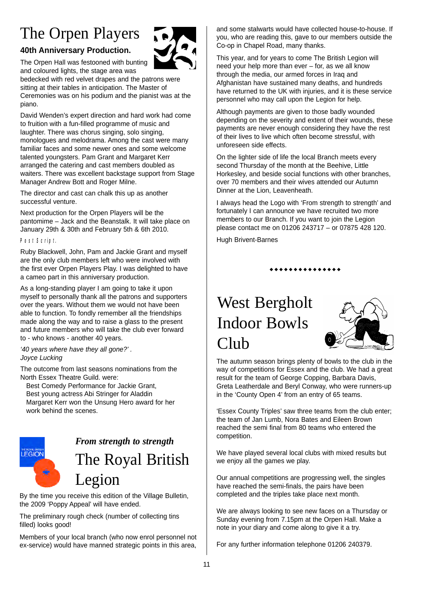# The Orpen Players

### **40th Anniversary Production.**

The Orpen Hall was festooned with bunting and coloured lights, the stage area was

bedecked with red velvet drapes and the patrons were sitting at their tables in anticipation. The Master of Ceremonies was on his podium and the pianist was at the piano.

David Wenden's expert direction and hard work had come to fruition with a fun-filled programme of music and laughter. There was chorus singing, solo singing, monologues and melodrama. Among the cast were many familiar faces and some newer ones and some welcome talented youngsters. Pam Grant and Margaret Kerr arranged the catering and cast members doubled as waiters. There was excellent backstage support from Stage Manager Andrew Bott and Roger Milne.

The director and cast can chalk this up as another successful venture.

Next production for the Orpen Players will be the pantomime – Jack and the Beanstalk. It will take place on January 29th & 30th and February 5th & 6th 2010.

### *Post Script.*

Ruby Blackwell, John, Pam and Jackie Grant and myself are the only club members left who were involved with the first ever Orpen Players Play. I was delighted to have a cameo part in this anniversary production.

As a long-standing player I am going to take it upon myself to personally thank all the patrons and supporters over the years. Without them we would not have been able to function. To fondly remember all the friendships made along the way and to raise a glass to the present and future members who will take the club ever forward to - who knows - another 40 years.

*'40 years where have they all gone?' . Joyce Lucking*

The outcome from last seasons nominations from the North Essex Theatre Guild. were:

Best Comedy Performance for Jackie Grant, Best young actress Abi Stringer for Aladdin Margaret Kerr won the Unsung Hero award for her work behind the scenes.



# *From strength to strength* The Royal British

By the time you receive this edition of the Village Bulletin, the 2009 'Poppy Appeal' will have ended.

The preliminary rough check (number of collecting tins filled) looks good!

Legion

Members of your local branch (who now enrol personnel not ex-service) would have manned strategic points in this area,

and some stalwarts would have collected house-to-house. If you, who are reading this, gave to our members outside the Co-op in Chapel Road, many thanks.

This year, and for years to come The British Legion will need your help more than ever – for, as we all know through the media, our armed forces in Iraq and Afghanistan have sustained many deaths, and hundreds have returned to the UK with injuries, and it is these service personnel who may call upon the Legion for help.

Although payments are given to those badly wounded depending on the severity and extent of their wounds, these payments are never enough considering they have the rest of their lives to live which often become stressful, with unforeseen side effects.

On the lighter side of life the local Branch meets every second Thursday of the month at the Beehive, Little Horkesley, and beside social functions with other branches, over 70 members and their wives attended our Autumn Dinner at the Lion, Leavenheath.

I always head the Logo with 'From strength to strength' and fortunately I can announce we have recruited two more members to our Branch. If you want to join the Legion please contact me on 01206 243717 – or 07875 428 120.

Hugh Brivent-Barnes

..............

# West Bergholt Indoor Bowls Club



The autumn season brings plenty of bowls to the club in the way of competitions for Essex and the club. We had a great result for the team of George Copping, Barbara Davis, Greta Leatherdale and Beryl Conway, who were runners-up in the 'County Open 4' from an entry of 65 teams.

'Essex County Triples' saw three teams from the club enter; the team of Jan Lumb, Nora Bates and Eileen Brown reached the semi final from 80 teams who entered the competition.

We have played several local clubs with mixed results but we enjoy all the games we play.

Our annual competitions are progressing well, the singles have reached the semi-finals, the pairs have been completed and the triples take place next month.

We are always looking to see new faces on a Thursday or Sunday evening from 7.15pm at the Orpen Hall. Make a note in your diary and come along to give it a try.

For any further information telephone 01206 240379.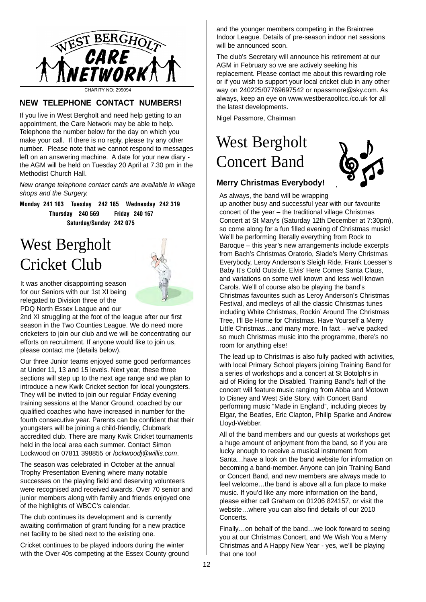

CHARITY NO: 299094

### **NEW TELEPHONE CONTACT NUMBERS!**

If you live in West Bergholt and need help getting to an appointment, the Care Network may be able to help. Telephone the number below for the day on which you make your call. If there is no reply, please try any other number. Please note that we cannot respond to messages left on an answering machine. A date for your new diary the AGM will be held on Tuesday 20 April at 7.30 pm in the Methodist Church Hall.

*New orange telephone contact cards are available in village shops and the Surgery.*

**Monday 241 103 Tuesday 242 185 Wednesday 242 319 Thursday 240 569 Friday 240 167 Saturday/Sunday 242 075**

# West Bergholt Cricket Club



It was another disappointing season for our Seniors with our 1st XI being relegated to Division three of the PDQ North Essex League and our

2nd XI struggling at the foot of the league after our first season in the Two Counties League. We do need more cricketers to join our club and we will be concentrating our efforts on recruitment. If anyone would like to join us, please contact me (details below).

Our three Junior teams enjoyed some good performances at Under 11, 13 and 15 levels. Next year, these three sections will step up to the next age range and we plan to introduce a new Kwik Cricket section for local youngsters. They will be invited to join our regular Friday evening training sessions at the Manor Ground, coached by our qualified coaches who have increased in number for the fourth consecutive year. Parents can be confident that their youngsters will be joining a child-friendly, Clubmark accredited club. There are many Kwik Cricket tournaments held in the local area each summer. Contact Simon Lockwood on 07811 398855 or *lockwoodj@willis.com*.

The season was celebrated in October at the annual Trophy Presentation Evening where many notable successes on the playing field and deserving volunteers were recognised and received awards. Over 70 senior and junior members along with family and friends enjoyed one of the highlights of WBCC's calendar.

The club continues its development and is currently awaiting confirmation of grant funding for a new practice net facility to be sited next to the existing one.

Cricket continues to be played indoors during the winter with the Over 40s competing at the Essex County ground and the younger members competing in the Braintree Indoor League. Details of pre-season indoor net sessions will be announced soon.

The club's Secretary will announce his retirement at our AGM in February so we are actively seeking his replacement. Please contact me about this rewarding role or if you wish to support your local cricket club in any other way on 240225/07769697542 or npassmore@sky.com. As always, keep an eye on www.westberaooltcc./co.uk for all the latest developments.

Nigel Passmore, Chairman

# West Bergholt Concert Band



### **Merry Christmas Everybody!**

As always, the band will be wrapping

up another busy and successful year with our favourite concert of the year – the traditional village Christmas Concert at St Mary's (Saturday 12th December at 7:30pm), so come along for a fun filled evening of Christmas music! We'll be performing literally everything from Rock to Baroque – this year's new arrangements include excerpts from Bach's Christmas Oratorio, Slade's Merry Christmas Everybody, Leroy Anderson's Sleigh Ride, Frank Loesser's Baby It's Cold Outside, Elvis' Here Comes Santa Claus, and variations on some well known and less well known Carols. We'll of course also be playing the band's Christmas favourites such as Leroy Anderson's Christmas Festival, and medleys of all the classic Christmas tunes including White Christmas, Rockin' Around The Christmas Tree, I'll Be Home for Christmas, Have Yourself a Merry Little Christmas…and many more. In fact – we've packed so much Christmas music into the programme, there's no room for anything else!

The lead up to Christmas is also fully packed with activities, with local Primary School players joining Training Band for a series of workshops and a concert at St Botolph's in aid of Riding for the Disabled. Training Band's half of the concert will feature music ranging from Abba and Motown to Disney and West Side Story, with Concert Band performing music "Made in England", including pieces by Elgar, the Beatles, Eric Clapton, Philip Sparke and Andrew Lloyd-Webber.

All of the band members and our guests at workshops get a huge amount of enjoyment from the band, so if you are lucky enough to receive a musical instrument from Santa…have a look on the band website for information on becoming a band-member. Anyone can join Training Band or Concert Band, and new members are always made to feel welcome…the band is above all a fun place to make music. If you'd like any more information on the band, please either call Graham on 01206 824157, or visit the website…where you can also find details of our 2010 Concerts.

Finally…on behalf of the band…we look forward to seeing you at our Christmas Concert, and We Wish You a Merry Christmas and A Happy New Year - yes, we'll be playing that one too!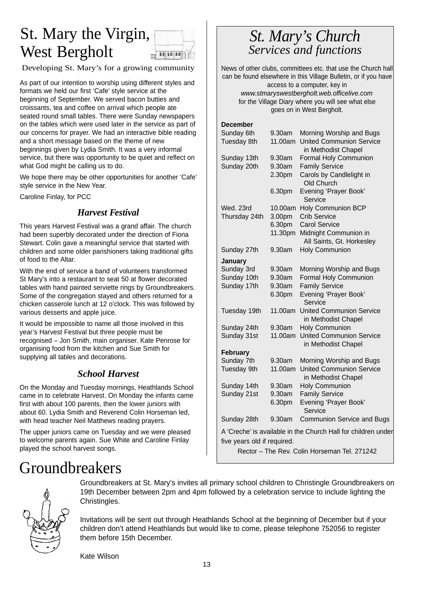# St. Mary the Virgin, West Bergholt



Developing St. Mary's for a growing community

As part of our intention to worship using different styles and formats we held our first 'Cafe' style service at the beginning of September. We served bacon butties and croissants, tea and coffee on arrival which people ate seated round small tables. There were Sunday newspapers on the tables which were used later in the service as part of our concerns for prayer. We had an interactive bible reading and a short message based on the theme of new beginnings given by Lydia Smith. It was a very informal service, but there was opportunity to be quiet and reflect on what God might be calling us to do.

We hope there may be other opportunities for another 'Cafe' style service in the New Year.

Caroline Finlay, for PCC

### *Harvest Festival*

This years Harvest Festival was a grand affair. The church had been superbly decorated under the direction of Fiona Stewart. Colin gave a meaningful service that started with children and some older parishioners taking traditional gifts of food to the Altar.

With the end of service a band of volunteers transformed St Mary's into a restaurant to seat 50 at flower decorated tables with hand painted serviette rings by Groundbreakers. Some of the congregation stayed and others returned for a chicken casserole lunch at 12 o'clock. This was followed by various desserts and apple juice.

It would be impossible to name all those involved in this year's Harvest Festival but three people must be recognised – Jon Smith, main organiser. Kate Penrose for organising food from the kitchen and Sue Smith for supplying all tables and decorations.

### *School Harvest*

On the Monday and Tuesday mornings, Heathlands School came in to celebrate Harvest. On Monday the infants came first with about 100 parents, then the lower juniors with about 60. Lydia Smith and Reverend Colin Horseman led, with head teacher Neil Matthews reading prayers.

The upper juniors came on Tuesday and we were pleased to welcome parents again. Sue White and Caroline Finlay played the school harvest songs.

## *St. Mary's Church Services and functions*

News of other clubs, committees etc. that use the Church hall can be found elsewhere in this Village Bulletin, or if you have access to a computer, key in *www.stmaryswestbergholt.web.officelive.com* for the Village Diary where you will see what else goes on in West Bergholt.

**December**

| Sunday 6th                  | 9.30am  | Morning Worship and Bugs                                      |
|-----------------------------|---------|---------------------------------------------------------------|
| Tuesday 8th                 | 11.00am | <b>United Communion Service</b><br>in Methodist Chapel        |
| Sunday 13th                 | 9.30am  | Formal Holy Communion                                         |
| Sunday 20th                 | 9.30am  | <b>Family Service</b>                                         |
|                             | 2.30pm  | Carols by Candlelight in                                      |
|                             |         | Old Church                                                    |
|                             | 6.30pm  | Evening 'Prayer Book'<br>Service                              |
| Wed. 23rd                   | 10.00am | <b>Holy Communion BCP</b>                                     |
| Thursday 24th               | 3.00pm  | <b>Crib Service</b>                                           |
|                             | 6.30pm  | <b>Carol Service</b>                                          |
|                             | 11.30pm | Midnight Communion in                                         |
|                             |         | All Saints, Gt. Horkesley                                     |
| Sunday 27th                 | 9.30am  | <b>Holy Communion</b>                                         |
| January                     |         |                                                               |
| Sunday 3rd                  | 9.30am  | Morning Worship and Bugs                                      |
| Sunday 10th                 | 9.30am  | Formal Holy Communion                                         |
| Sunday 17th                 | 9.30am  | <b>Family Service</b>                                         |
|                             | 6.30pm  | Evening 'Prayer Book'<br>Service                              |
| Tuesday 19th                | 11.00am | <b>United Communion Service</b><br>in Methodist Chapel        |
| Sunday 24th                 | 9.30am  | <b>Holy Communion</b>                                         |
| Sunday 31st                 | 11.00am | <b>United Communion Service</b>                               |
|                             |         | in Methodist Chapel                                           |
| February                    |         |                                                               |
| Sunday 7th                  | 9.30am  | Morning Worship and Bugs                                      |
| Tuesday 9th                 | 11.00am | <b>United Communion Service</b><br>in Methodist Chapel        |
| Sunday 14th                 | 9.30am  | <b>Holy Communion</b>                                         |
| Sunday 21st                 | 9.30am  | <b>Family Service</b>                                         |
|                             | 6.30pm  | Evening 'Prayer Book'<br>Service                              |
| Sunday 28th                 | 9.30am  | Communion Service and Bugs                                    |
|                             |         | A 'Creche' is available in the Church Hall for children under |
| five years old if required. |         |                                                               |

Rector – The Rev. Colin Horseman Tel. 271242

# Groundbreakers



Groundbreakers at St. Mary's invites all primary school children to Christingle Groundbreakers on 19th December between 2pm and 4pm followed by a celebration service to include lighting the Christingles.

Invitations will be sent out through Heathlands School at the beginning of December but if your children don't attend Heathlands but would like to come, please telephone 752056 to register them before 15th December.

Kate Wilson